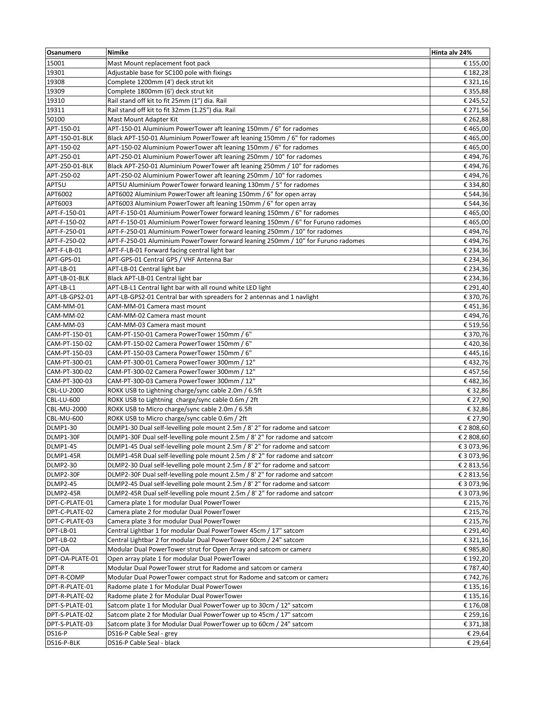| Osanumero         | Nimike                                                                           | Hinta alv 24%                |
|-------------------|----------------------------------------------------------------------------------|------------------------------|
| 15001             | Mast Mount replacement foot pack                                                 | € 155,00                     |
| 19301             | Adjustable base for SC100 pole with fixings                                      | € 182,28                     |
| 19308             | Complete 1200mm (4') deck strut kit                                              | € 321,16                     |
| 19309             | Complete 1800mm (6') deck strut kit                                              | € 355,88                     |
| 19310             | Rail stand off kit to fit 25mm (1") dia. Rail                                    | € 245,52                     |
| 19311             | Rail stand off kit to fit 32mm (1.25") dia. Rail                                 | € 271,56                     |
| 50100             | Mast Mount Adapter Kit                                                           | € 262,88                     |
| APT-150-01        | APT-150-01 Aluminium PowerTower aft leaning 150mm / 6" for radomes               | €465,00                      |
| APT-150-01-BLK    | Black APT-150-01 Aluminium PowerTower aft leaning 150mm / 6" for radomes         | €465,00                      |
| APT-150-02        | APT-150-02 Aluminium PowerTower aft leaning 150mm / 6" for radomes               | €465,00                      |
| APT-250-01        | APT-250-01 Aluminium PowerTower aft leaning 250mm / 10" for radomes              | €494,76                      |
| APT-250-01-BLK    | Black APT-250-01 Aluminium PowerTower aft leaning 250mm / 10" for radomes        | €494,76                      |
| APT-250-02        | APT-250-02 Aluminium PowerTower aft leaning 250mm / 10" for radomes              | €494,76                      |
| APT5U             | APT5U Aluminium PowerTower forward leaning 130mm / 5" for radomes                | € 334,80                     |
| APT6002           | APT6002 Aluminium PowerTower aft leaning 150mm / 6" for open array               | € 544,36                     |
| APT6003           | APT6003 Aluminium PowerTower aft leaning 150mm / 6" for open array               | € 544,36                     |
| APT-F-150-01      | APT-F-150-01 Aluminium PowerTower forward leaning 150mm / 6" for radomes         | €465,00                      |
| APT-F-150-02      | APT-F-150-01 Aluminium PowerTower forward leaning 150mm / 6" for Furuno radomes  | €465,00                      |
| APT-F-250-01      | APT-F-250-01 Aluminium PowerTower forward leaning 250mm / 10" for radomes        | €494,76                      |
| APT-F-250-02      | APT-F-250-01 Aluminium PowerTower forward leaning 250mm / 10" for Furuno radomes | €494,76                      |
| APT-F-LB-01       | APT-F-LB-01 Forward facing central light bar                                     | € 234,36                     |
| APT-GPS-01        | APT-GPS-01 Central GPS / VHF Antenna Bar                                         | € 234,36                     |
| APT-LB-01         | APT-LB-01 Central light bar                                                      | € 234,36                     |
| APT-LB-01-BLK     | Black APT-LB-01 Central light bar                                                | € 234,36                     |
| APT-LB-L1         | APT-LB-L1 Central light bar with all round white LED light                       | € 291,40                     |
| APT-LB-GPS2-01    | APT-LB-GPS2-01 Central bar with spreaders for 2 antennas and 1 navlight          | € 370,76                     |
| CAM-MM-01         | CAM-MM-01 Camera mast mount                                                      | €451,36                      |
| CAM-MM-02         | CAM-MM-02 Camera mast mount                                                      | €494,76                      |
| CAM-MM-03         | CAM-MM-03 Camera mast mount                                                      | € 519,56                     |
| CAM-PT-150-01     | CAM-PT-150-01 Camera PowerTower 150mm / 6"                                       | € 370,76                     |
| CAM-PT-150-02     | CAM-PT-150-02 Camera PowerTower 150mm / 6"                                       | €420,36                      |
| CAM-PT-150-03     | CAM-PT-150-03 Camera PowerTower 150mm / 6"                                       | €445,16                      |
| CAM-PT-300-01     | CAM-PT-300-01 Camera PowerTower 300mm / 12"                                      | €432,76                      |
| CAM-PT-300-02     | CAM-PT-300-02 Camera PowerTower 300mm / 12"                                      | €457,56                      |
| CAM-PT-300-03     | CAM-PT-300-03 Camera PowerTower 300mm / 12"                                      | €482,36                      |
| CBL-LU-2000       | ROKK USB to Lightning charge/sync cable 2.0m / 6.5ft                             | € 32,86                      |
| CBL-LU-600        | ROKK USB to Lightning charge/sync cable 0.6m / 2ft                               | € 27,90                      |
| CBL-MU-2000       | ROKK USB to Micro charge/sync cable 2.0m / 6.5ft                                 | € 32,86                      |
| <b>CBL-MU-600</b> | ROKK USB to Micro charge/sync cable 0.6m / 2ft                                   | € 27,90                      |
| <b>DLMP1-30</b>   | DLMP1-30 Dual self-levelling pole mount 2.5m / 8' 2" for radome and satcom       | € 2 808,60                   |
| DLMP1-30F         | DLMP1-30F Dual self-levelling pole mount 2.5m / 8' 2" for radome and satcom      | € 2 808,60                   |
| <b>DLMP1-45</b>   | DLMP1-45 Dual self-levelling pole mount 2.5m / 8' 2" for radome and satcom       | € 3 073,96                   |
| DLMP1-45R         | DLMP1-45R Dual self-levelling pole mount 2.5m / 8' 2" for radome and satcom      | € 3 073,96                   |
| <b>DLMP2-30</b>   | DLMP2-30 Dual self-levelling pole mount 2.5m / 8' 2" for radome and satcom       | € 2 813,56                   |
| DLMP2-30F         | DLMP2-30F Dual self-levelling pole mount 2.5m / 8' 2" for radome and satcom      | € 2 813,56                   |
| <b>DLMP2-45</b>   | DLMP2-45 Dual self-levelling pole mount 2.5m / 8' 2" for radome and satcom       | € 3 073,96                   |
| DLMP2-45R         | DLMP2-45R Dual self-levelling pole mount 2.5m / 8' 2" for radome and satcom      | € 3 073,96                   |
| DPT-C-PLATE-01    | Camera plate 1 for modular Dual PowerTower                                       | € 215,76                     |
| DPT-C-PLATE-02    | Camera plate 2 for modular Dual PowerTower                                       | € 215,76                     |
| DPT-C-PLATE-03    | Camera plate 3 for modular Dual PowerTower                                       | € 215,76                     |
| DPT-LB-01         | Central Lightbar 1 for modular Dual PowerTower 45cm / 17" satcom                 | $\overline{\epsilon}$ 291,40 |
| DPT-LB-02         | Central Lightbar 2 for modular Dual PowerTower 60cm / 24" satcom                 | € 321,16                     |
| DPT-OA            | Modular Dual PowerTower strut for Open Array and satcom or camera                | €985,80                      |
| DPT-OA-PLATE-01   | Open array plate 1 for modular Dual PowerTower                                   | € 192,20                     |
| DPT-R             | Modular Dual PowerTower strut for Radome and satcom or camera                    | € 787,40                     |
| DPT-R-COMP        | Modular Dual PowerTower compact strut for Radome and satcom or camera            | € 742,76                     |
| DPT-R-PLATE-01    | Radome plate 1 for Modular Dual PowerTower                                       | € 135,16                     |
| DPT-R-PLATE-02    | Radome plate 2 for Modular Dual PowerTower                                       | € 135,16                     |
| DPT-S-PLATE-01    | Satcom plate 1 for Modular Dual PowerTower up to 30cm / 12" satcom               | € 176,08                     |
| DPT-S-PLATE-02    | Satcom plate 2 for Modular Dual PowerTower up to 45cm / 17" satcom               | € 259,16                     |
| DPT-S-PLATE-03    | Satcom plate 3 for Modular Dual PowerTower up to 60cm / 24" satcom               | € 371,38                     |
| <b>DS16-P</b>     | DS16-P Cable Seal - grey                                                         | € 29,64                      |
| DS16-P-BLK        | DS16-P Cable Seal - black                                                        | € 29,64                      |
|                   |                                                                                  |                              |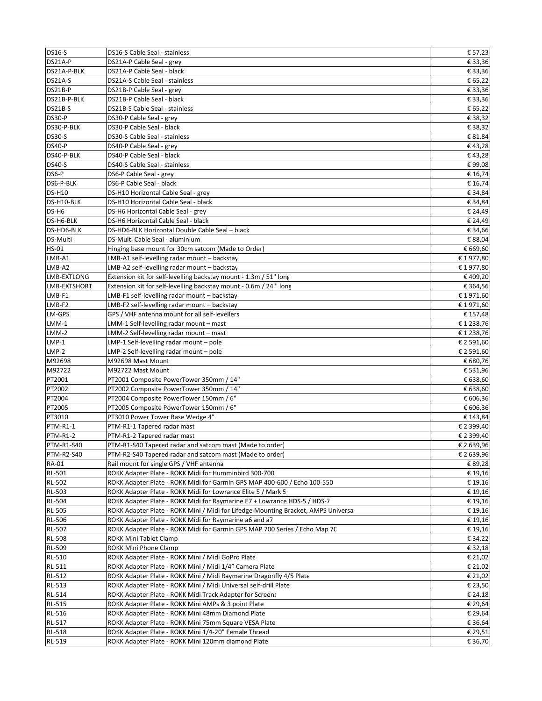| <b>DS16-S</b>                 | DS16-S Cable Seal - stainless                                                           | € 57,23                      |
|-------------------------------|-----------------------------------------------------------------------------------------|------------------------------|
| DS21A-P                       | DS21A-P Cable Seal - grey                                                               | € 33,36                      |
| DS21A-P-BLK                   | DS21A-P Cable Seal - black                                                              | € 33,36                      |
| DS21A-S                       | DS21A-S Cable Seal - stainless                                                          | € 65,22                      |
| DS21B-P                       | DS21B-P Cable Seal - grey                                                               | € 33,36                      |
| DS21B-P-BLK                   | DS21B-P Cable Seal - black                                                              | $\overline{\epsilon}$ 33,36  |
| DS21B-S                       | DS21B-S Cable Seal - stainless                                                          | € 65,22                      |
| <b>DS30-P</b>                 | DS30-P Cable Seal - grey                                                                | € 38,32                      |
| DS30-P-BLK                    | DS30-P Cable Seal - black                                                               | € 38,32                      |
| <b>DS30-S</b>                 | DS30-S Cable Seal - stainless                                                           | € 81,84                      |
| <b>DS40-P</b>                 | DS40-P Cable Seal - grey                                                                | €43,28                       |
| DS40-P-BLK                    | DS40-P Cable Seal - black                                                               | €43,28                       |
| <b>DS40-S</b>                 | DS40-S Cable Seal - stainless                                                           | €99,08                       |
| DS6-P                         | DS6-P Cable Seal - grev                                                                 | € 16,74                      |
| DS6-P-BLK                     | DS6-P Cable Seal - black                                                                | € 16,74                      |
| <b>DS-H10</b>                 | DS-H10 Horizontal Cable Seal - grey                                                     | € 34,84                      |
| DS-H10-BLK                    | DS-H10 Horizontal Cable Seal - black                                                    | € 34,84                      |
| DS-H6                         | DS-H6 Horizontal Cable Seal - grey                                                      | € 24,49                      |
| DS-H6-BLK                     | DS-H6 Horizontal Cable Seal - black                                                     | € 24,49                      |
| DS-HD6-BLK                    | DS-HD6-BLK Horizontal Double Cable Seal - black                                         | € 34,66                      |
| <b>DS-Multi</b>               | DS-Multi Cable Seal - aluminium                                                         | € 88,04                      |
| HS-01                         | Hinging base mount for 30cm satcom (Made to Order)                                      | € 669,60                     |
| LMB-A1                        | LMB-A1 self-levelling radar mount - backstay                                            | €1977,80                     |
| $LMB- A2$                     | LMB-A2 self-levelling radar mount - backstay                                            | €1977,80                     |
| LMB-EXTLONG                   | Extension kit for self-levelling backstay mount - 1.3m / 51" long                       | €409,20                      |
| LMB-EXTSHORT                  | Extension kit for self-levelling backstay mount - 0.6m / 24 " long                      | € 364,56                     |
| LMB-F1                        | LMB-F1 self-levelling radar mount - backstay                                            | €1971,60                     |
| LMB-F2                        | LMB-F2 self-levelling radar mount - backstay                                            | €1971,60                     |
| LM-GPS                        | GPS / VHF antenna mount for all self-levellers                                          | € 157,48                     |
| $LMM-1$                       | LMM-1 Self-levelling radar mount - mast                                                 | €1238,76                     |
| $LMM-2$                       | LMM-2 Self-levelling radar mount - mast                                                 | €1238,76                     |
| $LMP-1$                       | LMP-1 Self-levelling radar mount - pole                                                 | € 2 591,60                   |
| LMP-2                         | LMP-2 Self-levelling radar mount - pole                                                 | € 2 591,60                   |
| M92698                        | M92698 Mast Mount                                                                       | € 680,76                     |
| M92722                        | M92722 Mast Mount                                                                       | $\overline{\epsilon}$ 531,96 |
| PT2001                        | PT2001 Composite PowerTower 350mm / 14"                                                 | € 638,60                     |
| PT2002                        | PT2002 Composite PowerTower 350mm / 14"                                                 | € 638,60                     |
| PT2004                        | PT2004 Composite PowerTower 150mm / 6"                                                  | € 606,36                     |
| PT2005                        | PT2005 Composite PowerTower 150mm / 6"                                                  | € 606,36                     |
| PT3010                        | PT3010 Power Tower Base Wedge 4°                                                        | € 143,84                     |
| <b>PTM-R1-1</b>               | PTM-R1-1 Tapered radar mast                                                             | € 2 399,40                   |
| <b>PTM-R1-2</b><br>PTM-R1-S40 | PTM-R1-2 Tapered radar mast<br>PTM-R1-S40 Tapered radar and satcom mast (Made to order) | € 2 399,40<br>€ 2 639,96     |
| <b>PTM-R2-S40</b>             | PTM-R2-S40 Tapered radar and satcom mast (Made to order)                                | € 2 639,96                   |
| <b>RA-01</b>                  | Rail mount for single GPS / VHF antenna                                                 | € 89,28                      |
| <b>RL-501</b>                 | ROKK Adapter Plate - ROKK Midi for Humminbird 300-700                                   | € 19,16                      |
| <b>RL-502</b>                 | ROKK Adapter Plate - ROKK Midi for Garmin GPS MAP 400-600 / Echo 100-550                | € 19,16                      |
| <b>RL-503</b>                 | ROKK Adapter Plate - ROKK Midi for Lowrance Elite 5 / Mark 5                            | € 19,16                      |
| <b>RL-504</b>                 | ROKK Adapter Plate - ROKK Midi for Raymarine E7 + Lowrance HDS-5 / HDS-7                | € 19,16                      |
| <b>RL-505</b>                 | ROKK Adapter Plate - ROKK Mini / Midi for Lifedge Mounting Bracket, AMPS Universa       | € 19,16                      |
| <b>RL-506</b>                 | ROKK Adapter Plate - ROKK Midi for Raymarine a6 and a7                                  | € 19,16                      |
| <b>RL-507</b>                 | ROKK Adapter Plate - ROKK Midi for Garmin GPS MAP 700 Series / Echo Map 70              | € 19,16                      |
| <b>RL-508</b>                 | ROKK Mini Tablet Clamp                                                                  | € 34,22                      |
| RL-509                        | ROKK Mini Phone Clamp                                                                   | € 32,18                      |
| RL-510                        | ROKK Adapter Plate - ROKK Mini / Midi GoPro Plate                                       | € 21,02                      |
| RL-511                        | ROKK Adapter Plate - ROKK Mini / Midi 1/4" Camera Plate                                 | € 21,02                      |
| <b>RL-512</b>                 | ROKK Adapter Plate - ROKK Mini / Midi Raymarine Dragonfly 4/5 Plate                     | € 21,02                      |
| RL-513                        | ROKK Adapter Plate - ROKK Mini / Midi Universal self-drill Plate                        | € 23,50                      |
| RL-514                        | ROKK Adapter Plate - ROKK Midi Track Adapter for Screens                                | € 24,18                      |
| <b>RL-515</b>                 | ROKK Adapter Plate - ROKK Mini AMPs & 3 point Plate                                     | € 29,64                      |
| RL-516                        | ROKK Adapter Plate - ROKK Mini 48mm Diamond Plate                                       | € 29,64                      |
| <b>RL-517</b>                 | ROKK Adapter Plate - ROKK Mini 75mm Square VESA Plate                                   | € 36,64                      |
| <b>RL-518</b>                 | ROKK Adapter Plate - ROKK Mini 1/4-20" Female Thread                                    | € 29,51                      |
| RL-519                        | ROKK Adapter Plate - ROKK Mini 120mm diamond Plate                                      | € 36,70                      |
|                               |                                                                                         |                              |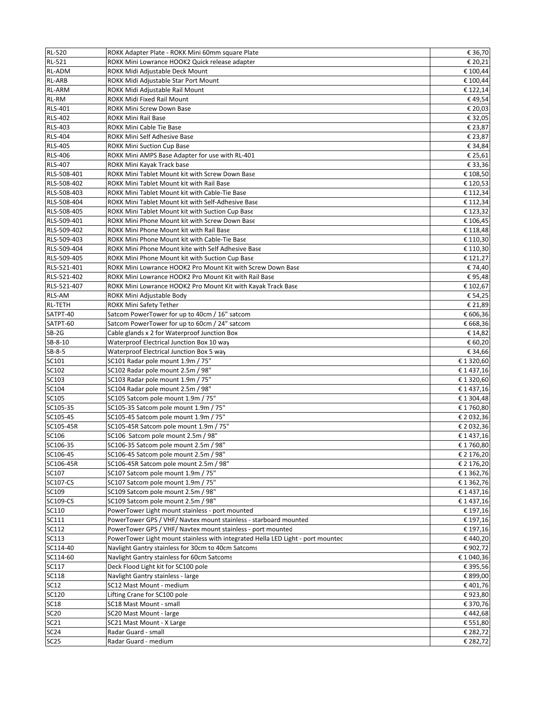| <b>RL-520</b>   | ROKK Adapter Plate - ROKK Mini 60mm square Plate                                             | € 36,70    |
|-----------------|----------------------------------------------------------------------------------------------|------------|
| <b>RL-521</b>   | ROKK Mini Lowrance HOOK2 Quick release adapter                                               | € 20,21    |
| <b>RL-ADM</b>   | ROKK Midi Adjustable Deck Mount                                                              | € 100,44   |
| <b>RL-ARB</b>   | ROKK Midi Adjustable Star Port Mount                                                         | € 100,44   |
| <b>RL-ARM</b>   | ROKK Midi Adjustable Rail Mount                                                              | € 122,14   |
| RL-RM           | ROKK Midi Fixed Rail Mount                                                                   | €49,54     |
| <b>RLS-401</b>  | ROKK Mini Screw Down Base                                                                    | € 20,03    |
| <b>RLS-402</b>  | ROKK Mini Rail Base                                                                          | € 32,05    |
| <b>RLS-403</b>  | ROKK Mini Cable Tie Base                                                                     | € 23,87    |
| <b>RLS-404</b>  | ROKK Mini Self Adhesive Base                                                                 | € 23,87    |
| <b>RLS-405</b>  | <b>ROKK Mini Suction Cup Base</b>                                                            | € 34,84    |
| <b>RLS-406</b>  | ROKK Mini AMPS Base Adapter for use with RL-401                                              | € 25,61    |
| <b>RLS-407</b>  | ROKK Mini Kayak Track base                                                                   | € 33,36    |
| RLS-508-401     |                                                                                              |            |
| RLS-508-402     | ROKK Mini Tablet Mount kit with Screw Down Base<br>ROKK Mini Tablet Mount kit with Rail Base | € 108,50   |
|                 |                                                                                              | € 120,53   |
| RLS-508-403     | ROKK Mini Tablet Mount kit with Cable-Tie Base                                               | € 112,34   |
| RLS-508-404     | ROKK Mini Tablet Mount kit with Self-Adhesive Base                                           | € 112,34   |
| RLS-508-405     | ROKK Mini Tablet Mount kit with Suction Cup Base                                             | € 123,32   |
| RLS-509-401     | ROKK Mini Phone Mount kit with Screw Down Base                                               | € 106,45   |
| RLS-509-402     | ROKK Mini Phone Mount kit with Rail Base                                                     | € 118,48   |
| RLS-509-403     | ROKK Mini Phone Mount kit with Cable-Tie Base                                                | € 110,30   |
| RLS-509-404     | ROKK Mini Phone Mount kite with Self Adhesive Base                                           | € 110,30   |
| RLS-509-405     | ROKK Mini Phone Mount kit with Suction Cup Base                                              | € 121,27   |
| RLS-521-401     | ROKK Mini Lowrance HOOK2 Pro Mount Kit with Screw Down Base                                  | € 74,40    |
| RLS-521-402     | ROKK Mini Lowrance HOOK2 Pro Mount Kit with Rail Base                                        | €95,48     |
| RLS-521-407     | ROKK Mini Lowrance HOOK2 Pro Mount Kit with Kayak Track Base                                 | € 102,67   |
| <b>RLS-AM</b>   | ROKK Mini Adjustable Body                                                                    | € 54,25    |
| <b>RL-TETH</b>  | ROKK Mini Safety Tether                                                                      | € 21,89    |
| SATPT-40        | Satcom PowerTower for up to 40cm / 16" satcom                                                | € 606,36   |
| SATPT-60        | Satcom PowerTower for up to 60cm / 24" satcom                                                | € 668,36   |
| $SB-2G$         | Cable glands x 2 for Waterproof Junction Box                                                 | € 14,82    |
| SB-8-10         | Waterproof Electrical Junction Box 10 way                                                    | € 60,20    |
| SB-8-5          | Waterproof Electrical Junction Box 5 way                                                     | € 34,66    |
| SC101           | SC101 Radar pole mount 1.9m / 75"                                                            | € 1 320,60 |
| SC102           | SC102 Radar pole mount 2.5m / 98"                                                            | € 1437,16  |
| SC103           | SC103 Radar pole mount 1.9m / 75"                                                            | € 1 320,60 |
| SC104           | SC104 Radar pole mount 2.5m / 98"                                                            | € 1437,16  |
| SC105           | SC105 Satcom pole mount 1.9m / 75"                                                           | €1304,48   |
| SC105-35        | SC105-35 Satcom pole mount 1.9m / 75"                                                        | €1760,80   |
| SC105-45        | SC105-45 Satcom pole mount 1.9m / 75"                                                        | € 2 032,36 |
| SC105-45R       | SC105-45R Satcom pole mount 1.9m / 75"                                                       | € 2 032,36 |
| SC106           | SC106 Satcom pole mount 2.5m / 98"                                                           | €1437,16   |
| SC106-35        | SC106-35 Satcom pole mount 2.5m / 98"                                                        | € 1760,80  |
| SC106-45        | SC106-45 Satcom pole mount 2.5m / 98"                                                        |            |
|                 |                                                                                              | € 2 176,20 |
| SC106-45R       | SC106-45R Satcom pole mount 2.5m / 98"                                                       | € 2 176,20 |
| SC107           | SC107 Satcom pole mount 1.9m / 75"                                                           | € 1 362,76 |
| <b>SC107-CS</b> | SC107 Satcom pole mount 1.9m / 75"                                                           | € 1 362,76 |
| SC109           | SC109 Satcom pole mount 2.5m / 98"                                                           | € 1437,16  |
| SC109-CS        | SC109 Satcom pole mount 2.5m / 98"                                                           | € 1437,16  |
| SC110           | PowerTower Light mount stainless - port mounted                                              | € 197,16   |
| SC111           | PowerTower GPS / VHF/ Navtex mount stainless - starboard mounted                             | € 197,16   |
| SC112           | PowerTower GPS / VHF/ Navtex mount stainless - port mounted                                  | € 197,16   |
| <b>SC113</b>    | PowerTower Light mount stainless with integrated Hella LED Light - port mountec              | €440,20    |
| SC114-40        | Navlight Gantry stainless for 30cm to 40cm Satcoms                                           | €902,72    |
| SC114-60        | Navlight Gantry stainless for 60cm Satcoms                                                   | €1040,36   |
| SC117           | Deck Flood Light kit for SC100 pole                                                          | € 395,56   |
| SC118           | Navlight Gantry stainless - large                                                            | € 899,00   |
| SC12            | SC12 Mast Mount - medium                                                                     | €401,76    |
| SC120           | Lifting Crane for SC100 pole                                                                 | €923,80    |
| <b>SC18</b>     | SC18 Mast Mount - small                                                                      | € 370,76   |
| <b>SC20</b>     | SC20 Mast Mount - large                                                                      | €442,68    |
| <b>SC21</b>     | SC21 Mast Mount - X Large                                                                    | € 551,80   |
|                 |                                                                                              |            |
| <b>SC24</b>     | Radar Guard - small                                                                          | € 282,72   |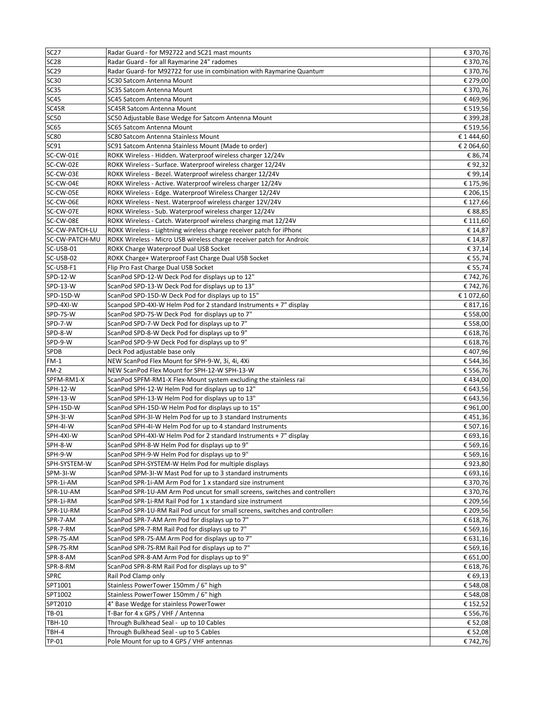| <b>SC27</b>    | Radar Guard - for M92722 and SC21 mast mounts                                                    | € 370,76   |
|----------------|--------------------------------------------------------------------------------------------------|------------|
| <b>SC28</b>    | Radar Guard - for all Raymarine 24" radomes                                                      | € 370,76   |
| <b>SC29</b>    | Radar Guard- for M92722 for use in combination with Raymarine Quantum                            | € 370,76   |
| <b>SC30</b>    | SC30 Satcom Antenna Mount                                                                        | € 279,00   |
| <b>SC35</b>    | SC35 Satcom Antenna Mount                                                                        | € 370,76   |
| <b>SC45</b>    | SC45 Satcom Antenna Mount                                                                        | €469,96    |
| SC45R          | <b>SC45R Satcom Antenna Mount</b>                                                                | € 519,56   |
| SC50           | SC50 Adjustable Base Wedge for Satcom Antenna Mount                                              | € 399,28   |
| <b>SC65</b>    | SC65 Satcom Antenna Mount                                                                        | € 519,56   |
| <b>SC80</b>    | SC80 Satcom Antenna Stainless Mount                                                              | € 1 444,60 |
| <b>SC91</b>    | SC91 Satcom Antenna Stainless Mount (Made to order)                                              | € 2 064,60 |
| SC-CW-01E      | ROKK Wireless - Hidden. Waterproof wireless charger 12/24V                                       | € 86,74    |
| SC-CW-02E      | ROKK Wireless - Surface. Waterproof wireless charger 12/24V                                      | €92,32     |
| SC-CW-03E      | ROKK Wireless - Bezel. Waterproof wireless charger 12/24V                                        | €99,14     |
| SC-CW-04E      | ROKK Wireless - Active. Waterproof wireless charger 12/24V                                       | € 175,96   |
| SC-CW-05E      | ROKK Wireless - Edge. Waterproof Wireless Charger 12/24V                                         | € 206,15   |
| SC-CW-06E      | ROKK Wireless - Nest. Waterproof wireless charger 12V/24V                                        | € 127,66   |
| SC-CW-07E      | ROKK Wireless - Sub. Waterproof wireless charger 12/24V                                          | € 88,85    |
| SC-CW-08E      | ROKK Wireless - Catch. Waterproof wireless charging mat 12/24V                                   | € 111,60   |
| SC-CW-PATCH-LU | ROKK Wireless - Lightning wireless charge receiver patch for iPhone                              | € 14,87    |
| SC-CW-PATCH-MU | ROKK Wireless - Micro USB wireless charge receiver patch for Androic                             | € 14,87    |
| SC-USB-01      | ROKK Charge Waterproof Dual USB Socket                                                           | € 37,14    |
| SC-USB-02      | ROKK Charge+ Waterproof Fast Charge Dual USB Socket                                              | € 55,74    |
| SC-USB-F1      | Flip Pro Fast Charge Dual USB Socket                                                             | € 55,74    |
| SPD-12-W       | ScanPod SPD-12-W Deck Pod for displays up to 12"                                                 | € 742,76   |
| SPD-13-W       | ScanPod SPD-13-W Deck Pod for displays up to 13"                                                 | €742,76    |
| SPD-15D-W      | ScanPod SPD-15D-W Deck Pod for displays up to 15"                                                | €1072,60   |
| SPD-4XI-W      | Scanpod SPD-4XI-W Helm Pod for 2 standard Instruments + 7" display                               | € 817,16   |
| SPD-7S-W       | ScanPod SPD-7S-W Deck Pod for displays up to 7"                                                  | € 558,00   |
| SPD-7-W        | ScanPod SPD-7-W Deck Pod for displays up to 7"                                                   |            |
| SPD-8-W        |                                                                                                  | € 558,00   |
| SPD-9-W        | ScanPod SPD-8-W Deck Pod for displays up to 9"<br>ScanPod SPD-9-W Deck Pod for displays up to 9" | € 618,76   |
|                |                                                                                                  | € 618,76   |
| <b>SPDB</b>    | Deck Pod adjustable base only                                                                    | €407,96    |
| $FM-1$         | NEW ScanPod Flex Mount for SPH-9-W, 3i, 4i, 4Xi                                                  | € 544,36   |
| $FM-2$         | NEW ScanPod Flex Mount for SPH-12-W SPH-13-W                                                     | € 556,76   |
| SPFM-RM1-X     | ScanPod SPFM-RM1-X Flex-Mount system excluding the stainless rail                                | €434,00    |
| SPH-12-W       | ScanPod SPH-12-W Helm Pod for displays up to 12"                                                 | € 643,56   |
| SPH-13-W       | ScanPod SPH-13-W Helm Pod for displays up to 13"                                                 | € 643,56   |
| SPH-15D-W      | ScanPod SPH-15D-W Helm Pod for displays up to 15"                                                | €961,00    |
| SPH-3I-W       | ScanPod SPH-3I-W Helm Pod for up to 3 standard Instruments                                       | €451,36    |
| SPH-4I-W       | ScanPod SPH-4I-W Helm Pod for up to 4 standard Instruments                                       | € 507,16   |
| SPH-4XI-W      | ScanPod SPH-4XI-W Helm Pod for 2 standard Instruments + 7" display                               | € 693,16   |
| SPH-8-W        | ScanPod SPH-8-W Helm Pod for displays up to 9"                                                   | € 569,16   |
| SPH-9-W        | ScanPod SPH-9-W Helm Pod for displays up to 9"                                                   | € 569,16   |
| SPH-SYSTEM-W   | ScanPod SPH-SYSTEM-W Helm Pod for multiple displays                                              | €923,80    |
| SPM-3I-W       | ScanPod SPM-3I-W Mast Pod for up to 3 standard instruments                                       | € 693,16   |
| SPR-1i-AM      | ScanPod SPR-1i-AM Arm Pod for 1 x standard size instrument                                       | € 370,76   |
| SPR-1U-AM      | ScanPod SPR-1U-AM Arm Pod uncut for small screens, switches and controllers                      | € 370,76   |
| SPR-1i-RM      | ScanPod SPR-1i-RM Rail Pod for 1 x standard size instrument                                      | € 209,56   |
| SPR-1U-RM      | ScanPod SPR-1U-RM Rail Pod uncut for small screens, switches and controllers                     | € 209,56   |
| SPR-7-AM       | ScanPod SPR-7-AM Arm Pod for displays up to 7"                                                   | € 618,76   |
| SPR-7-RM       | ScanPod SPR-7-RM Rail Pod for displays up to 7"                                                  | € 569,16   |
| SPR-7S-AM      | ScanPod SPR-7S-AM Arm Pod for displays up to 7"                                                  | € 631,16   |
| SPR-7S-RM      | ScanPod SPR-7S-RM Rail Pod for displays up to 7"                                                 | € 569,16   |
| SPR-8-AM       | ScanPod SPR-8-AM Arm Pod for displays up to 9"                                                   | € 651,00   |
| SPR-8-RM       | ScanPod SPR-8-RM Rail Pod for displays up to 9"                                                  | € 618,76   |
| <b>SPRC</b>    | Rail Pod Clamp only                                                                              | € 69,13    |
| SPT1001        | Stainless PowerTower 150mm / 6" high                                                             | € 548,08   |
| SPT1002        | Stainless PowerTower 150mm / 6" high                                                             | € 548,08   |
| SPT2010        | 4° Base Wedge for stainless PowerTower                                                           | € 152,52   |
| TB-01          | T-Bar for 4 x GPS / VHF / Antenna                                                                | € 556,76   |
| <b>TBH-10</b>  | Through Bulkhead Seal - up to 10 Cables                                                          | € 52,08    |
| TBH-4          | Through Bulkhead Seal - up to 5 Cables                                                           | € 52,08    |
| TP-01          | Pole Mount for up to 4 GPS / VHF antennas                                                        | € 742,76   |